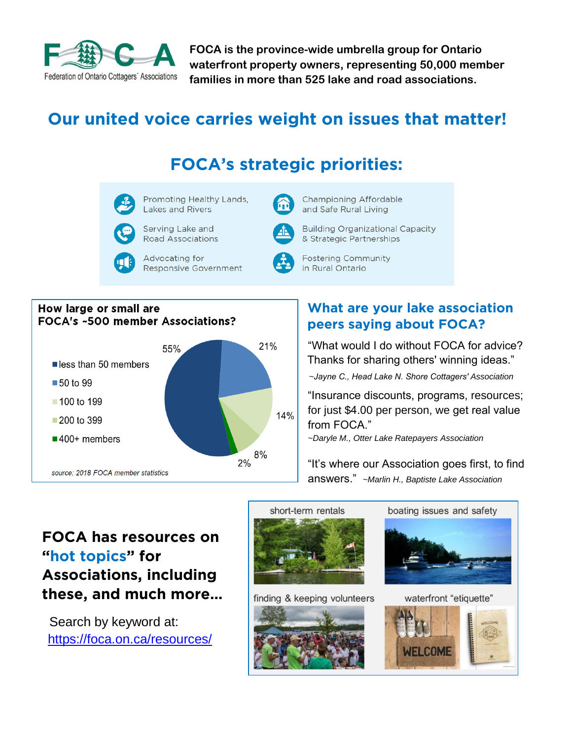

**FOCA is the province-wide umbrella group for Ontario waterfront property owners, representing 50,000 member families in more than 525 lake and road associations.** 

# **Our united voice carries weight on issues that matter!**

# **FOCA's strategic priorities:**



### How large or small are **FOCA's ~500 member Associations?**  $21%$ 55% less than 50 members  $\blacksquare$  50 to 99 ■ 100 to 199 14% 200 to 399 ■400+ members 8%  $2%$

source: 2018 FOCA member statistics

### **What are your lake association peers saying about FOCA?**

"What would I do without FOCA for advice? Thanks for sharing others' winning ideas." *~Jayne C., Head Lake N. Shore Cottagers' Association*

"Insurance discounts, programs, resources; for just \$4.00 per person, we get real value from FOCA."

*~Daryle M., Otter Lake Ratepayers Association* 

"It's where our Association goes first, to find answers." *~Marlin H., Baptiste Lake Association*

**FOCA has resources on "hot topics" for Associations, including these, and much more…**

 Search by keyword at: <https://foca.on.ca/resources/>



finding & keeping volunteers